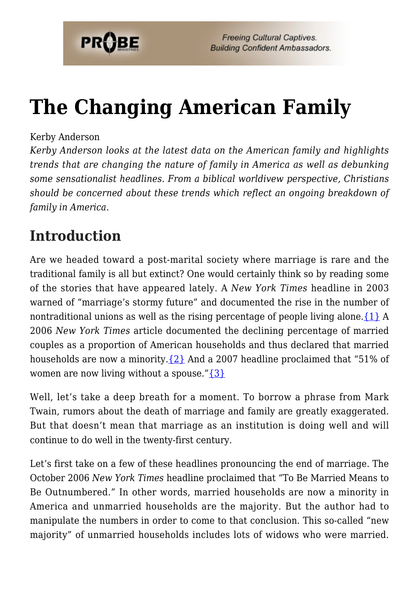

# **[The Changing American Family](https://probe.org/the-changing-american-family/)**

### Kerby Anderson

*Kerby Anderson looks at the latest data on the American family and highlights trends that are changing the nature of family in America as well as debunking some sensationalist headlines. From a biblical worldivew perspective, Christians should be concerned about these trends which reflect an ongoing breakdown of family in America.*

# **Introduction**

Are we headed toward a post-marital society where marriage is rare and the traditional family is all but extinct? One would certainly think so by reading some of the stories that have appeared lately. A *New York Times* headline in 2003 warned of "marriage's stormy future" and documented the rise in the number of nontraditional unions as well as the rising percentage of people living alone.  $\{1\}$  A 2006 *New York Times* article documented the declining percentage of married couples as a proportion of American households and thus declared that married households are now a minority.  $\{2\}$  And a 2007 headline proclaimed that "51% of women are now living without a spouse." $\{3\}$ 

Well, let's take a deep breath for a moment. To borrow a phrase from Mark Twain, rumors about the death of marriage and family are greatly exaggerated. But that doesn't mean that marriage as an institution is doing well and will continue to do well in the twenty-first century.

Let's first take on a few of these headlines pronouncing the end of marriage. The October 2006 *New York Times* headline proclaimed that "To Be Married Means to Be Outnumbered." In other words, married households are now a minority in America and unmarried households are the majority. But the author had to manipulate the numbers in order to come to that conclusion. This so-called "new majority" of unmarried households includes lots of widows who were married.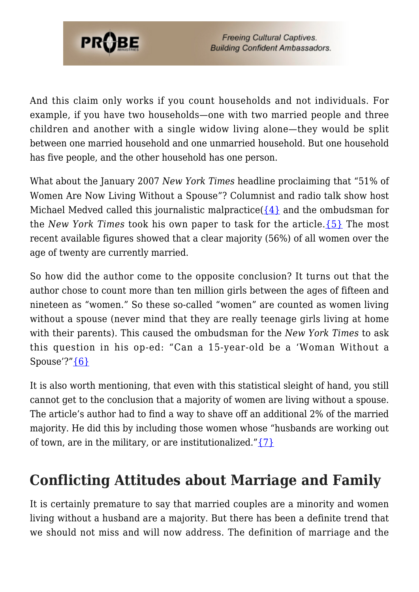

And this claim only works if you count households and not individuals. For example, if you have two households—one with two married people and three children and another with a single widow living alone—they would be split between one married household and one unmarried household. But one household has five people, and the other household has one person.

What about the January 2007 *New York Times* headline proclaiming that "51% of Women Are Now Living Without a Spouse"? Columnist and radio talk show host Michael Medved called this journalistic malpractice( $\{4\}$  and the ombudsman for the *New York Times* took his own paper to task for the article.[{5}](#page-8-4) The most recent available figures showed that a clear majority (56%) of all women over the age of twenty are currently married.

So how did the author come to the opposite conclusion? It turns out that the author chose to count more than ten million girls between the ages of fifteen and nineteen as "women." So these so-called "women" are counted as women living without a spouse (never mind that they are really teenage girls living at home with their parents). This caused the ombudsman for the *New York Times* to ask this question in his op-ed: "Can a 15-year-old be a 'Woman Without a Spouse'?"[{6}](#page-8-5)

It is also worth mentioning, that even with this statistical sleight of hand, you still cannot get to the conclusion that a majority of women are living without a spouse. The article's author had to find a way to shave off an additional 2% of the married majority. He did this by including those women whose "husbands are working out of town, are in the military, or are institutionalized." $\{7\}$ 

### **Conflicting Attitudes about Marriage and Family**

It is certainly premature to say that married couples are a minority and women living without a husband are a majority. But there has been a definite trend that we should not miss and will now address. The definition of marriage and the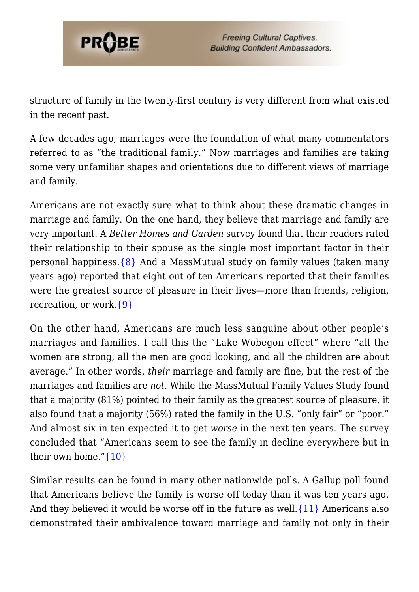

structure of family in the twenty-first century is very different from what existed in the recent past.

A few decades ago, marriages were the foundation of what many commentators referred to as "the traditional family." Now marriages and families are taking some very unfamiliar shapes and orientations due to different views of marriage and family.

Americans are not exactly sure what to think about these dramatic changes in marriage and family. On the one hand, they believe that marriage and family are very important. A *Better Homes and Garden* survey found that their readers rated their relationship to their spouse as the single most important factor in their personal happiness. $\{8\}$  And a MassMutual study on family values (taken many years ago) reported that eight out of ten Americans reported that their families were the greatest source of pleasure in their lives—more than friends, religion, recreation, or work.[{9}](#page-8-8)

On the other hand, Americans are much less sanguine about other people's marriages and families. I call this the "Lake Wobegon effect" where "all the women are strong, all the men are good looking, and all the children are about average." In other words, *their* marriage and family are fine, but the rest of the marriages and families are *not*. While the MassMutual Family Values Study found that a majority (81%) pointed to their family as the greatest source of pleasure, it also found that a majority (56%) rated the family in the U.S. "only fair" or "poor." And almost six in ten expected it to get *worse* in the next ten years. The survey concluded that "Americans seem to see the family in decline everywhere but in their own home." $\{10\}$ 

Similar results can be found in many other nationwide polls. A Gallup poll found that Americans believe the family is worse off today than it was ten years ago. And they believed it would be worse off in the future as well.  $\{11\}$  Americans also demonstrated their ambivalence toward marriage and family not only in their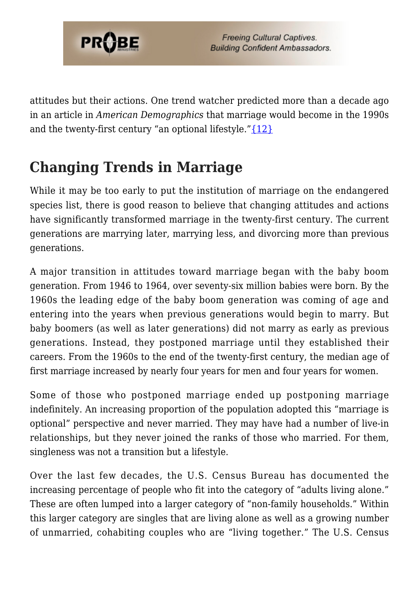

attitudes but their actions. One trend watcher predicted more than a decade ago in an article in *American Demographics* that marriage would become in the 1990s and the twenty-first century "an optional lifestyle." $\{12\}$ 

# **Changing Trends in Marriage**

While it may be too early to put the institution of marriage on the endangered species list, there is good reason to believe that changing attitudes and actions have significantly transformed marriage in the twenty-first century. The current generations are marrying later, marrying less, and divorcing more than previous generations.

A major transition in attitudes toward marriage began with the baby boom generation. From 1946 to 1964, over seventy-six million babies were born. By the 1960s the leading edge of the baby boom generation was coming of age and entering into the years when previous generations would begin to marry. But baby boomers (as well as later generations) did not marry as early as previous generations. Instead, they postponed marriage until they established their careers. From the 1960s to the end of the twenty-first century, the median age of first marriage increased by nearly four years for men and four years for women.

Some of those who postponed marriage ended up postponing marriage indefinitely. An increasing proportion of the population adopted this "marriage is optional" perspective and never married. They may have had a number of live-in relationships, but they never joined the ranks of those who married. For them, singleness was not a transition but a lifestyle.

Over the last few decades, the U.S. Census Bureau has documented the increasing percentage of people who fit into the category of "adults living alone." These are often lumped into a larger category of "non-family households." Within this larger category are singles that are living alone as well as a growing number of unmarried, cohabiting couples who are "living together." The U.S. Census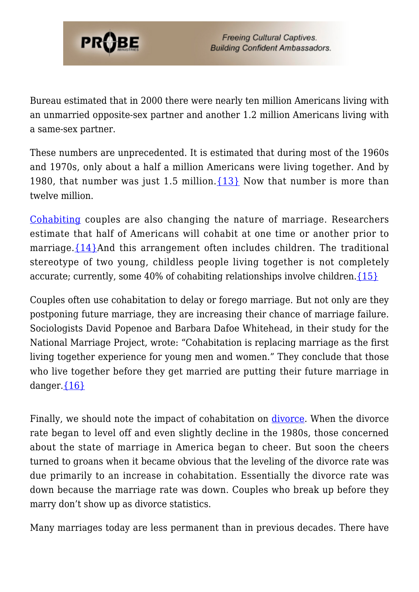

Bureau estimated that in 2000 there were nearly ten million Americans living with an unmarried opposite-sex partner and another 1.2 million Americans living with a same-sex partner.

These numbers are unprecedented. It is estimated that during most of the 1960s and 1970s, only about a half a million Americans were living together. And by 1980, that number was just 1.5 million.  $\{13\}$  Now that number is more than twelve million.

[Cohabiting](https://www.probe.org/cohabitation/) couples are also changing the nature of marriage. Researchers estimate that half of Americans will cohabit at one time or another prior to marriage. $\{14\}$ And this arrangement often includes children. The traditional stereotype of two young, childless people living together is not completely accurate; currently, some 40% of cohabiting relationships involve children. $\{15\}$ 

Couples often use cohabitation to delay or forego marriage. But not only are they postponing future marriage, they are increasing their chance of marriage failure. Sociologists David Popenoe and Barbara Dafoe Whitehead, in their study for the National Marriage Project, wrote: "Cohabitation is replacing marriage as the first living together experience for young men and women." They conclude that those who live together before they get married are putting their future marriage in danger. ${16}$ 

Finally, we should note the impact of cohabitation on *divorce*. When the divorce rate began to level off and even slightly decline in the 1980s, those concerned about the state of marriage in America began to cheer. But soon the cheers turned to groans when it became obvious that the leveling of the divorce rate was due primarily to an increase in cohabitation. Essentially the divorce rate was down because the marriage rate was down. Couples who break up before they marry don't show up as divorce statistics.

Many marriages today are less permanent than in previous decades. There have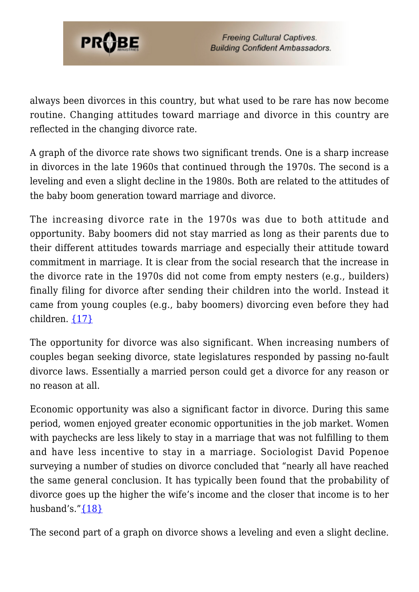

always been divorces in this country, but what used to be rare has now become routine. Changing attitudes toward marriage and divorce in this country are reflected in the changing divorce rate.

A graph of the divorce rate shows two significant trends. One is a sharp increase in divorces in the late 1960s that continued through the 1970s. The second is a leveling and even a slight decline in the 1980s. Both are related to the attitudes of the baby boom generation toward marriage and divorce.

The increasing divorce rate in the 1970s was due to both attitude and opportunity. Baby boomers did not stay married as long as their parents due to their different attitudes towards marriage and especially their attitude toward commitment in marriage. It is clear from the social research that the increase in the divorce rate in the 1970s did not come from empty nesters (e.g., builders) finally filing for divorce after sending their children into the world. Instead it came from young couples (e.g., baby boomers) divorcing even before they had children. [{17}](#page-9-2)

The opportunity for divorce was also significant. When increasing numbers of couples began seeking divorce, state legislatures responded by passing no-fault divorce laws. Essentially a married person could get a divorce for any reason or no reason at all.

Economic opportunity was also a significant factor in divorce. During this same period, women enjoyed greater economic opportunities in the job market. Women with paychecks are less likely to stay in a marriage that was not fulfilling to them and have less incentive to stay in a marriage. Sociologist David Popenoe surveying a number of studies on divorce concluded that "nearly all have reached the same general conclusion. It has typically been found that the probability of divorce goes up the higher the wife's income and the closer that income is to her husband's." $\{18\}$ 

The second part of a graph on divorce shows a leveling and even a slight decline.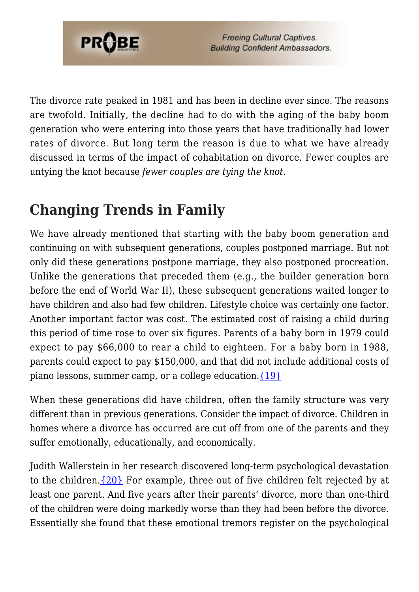

The divorce rate peaked in 1981 and has been in decline ever since. The reasons are twofold. Initially, the decline had to do with the aging of the baby boom generation who were entering into those years that have traditionally had lower rates of divorce. But long term the reason is due to what we have already discussed in terms of the impact of cohabitation on divorce. Fewer couples are untying the knot because *fewer couples are tying the knot*.

# **Changing Trends in Family**

We have already mentioned that starting with the baby boom generation and continuing on with subsequent generations, couples postponed marriage. But not only did these generations postpone marriage, they also postponed procreation. Unlike the generations that preceded them (e.g., the builder generation born before the end of World War II), these subsequent generations waited longer to have children and also had few children. Lifestyle choice was certainly one factor. Another important factor was cost. The estimated cost of raising a child during this period of time rose to over six figures. Parents of a baby born in 1979 could expect to pay \$66,000 to rear a child to eighteen. For a baby born in 1988, parents could expect to pay \$150,000, and that did not include additional costs of piano lessons, summer camp, or a college education. $\{19\}$ 

When these generations did have children, often the family structure was very different than in previous generations. Consider the impact of divorce. Children in homes where a divorce has occurred are cut off from one of the parents and they suffer emotionally, educationally, and economically.

Judith Wallerstein in her research discovered long-term psychological devastation to the children. $\{20\}$  For example, three out of five children felt rejected by at least one parent. And five years after their parents' divorce, more than one-third of the children were doing markedly worse than they had been before the divorce. Essentially she found that these emotional tremors register on the psychological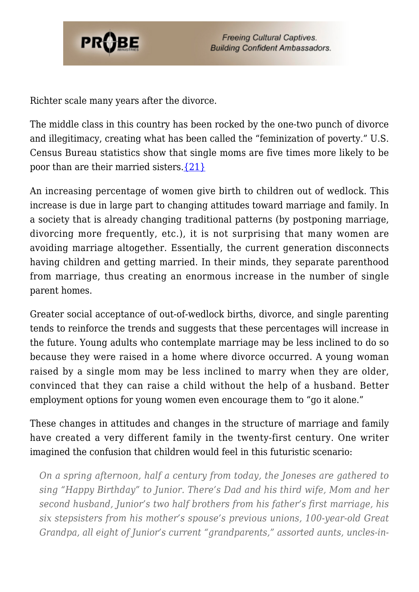

Richter scale many years after the divorce.

The middle class in this country has been rocked by the one-two punch of divorce and illegitimacy, creating what has been called the "feminization of poverty." U.S. Census Bureau statistics show that single moms are five times more likely to be poor than are their married sisters[.{21}](#page-9-5)

An increasing percentage of women give birth to children out of wedlock. This increase is due in large part to changing attitudes toward marriage and family. In a society that is already changing traditional patterns (by postponing marriage, divorcing more frequently, etc.), it is not surprising that many women are avoiding marriage altogether. Essentially, the current generation disconnects having children and getting married. In their minds, they separate parenthood from marriage, thus creating an enormous increase in the number of single parent homes.

Greater social acceptance of out-of-wedlock births, divorce, and single parenting tends to reinforce the trends and suggests that these percentages will increase in the future. Young adults who contemplate marriage may be less inclined to do so because they were raised in a home where divorce occurred. A young woman raised by a single mom may be less inclined to marry when they are older, convinced that they can raise a child without the help of a husband. Better employment options for young women even encourage them to "go it alone."

These changes in attitudes and changes in the structure of marriage and family have created a very different family in the twenty-first century. One writer imagined the confusion that children would feel in this futuristic scenario:

*On a spring afternoon, half a century from today, the Joneses are gathered to sing "Happy Birthday" to Junior. There's Dad and his third wife, Mom and her second husband, Junior's two half brothers from his father's first marriage, his six stepsisters from his mother's spouse's previous unions, 100-year-old Great Grandpa, all eight of Junior's current "grandparents," assorted aunts, uncles-in-*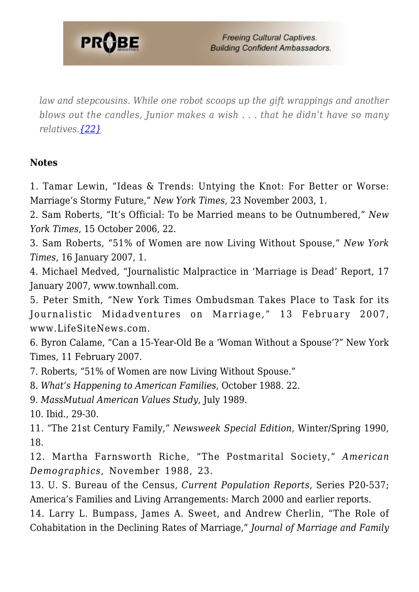

*law and stepcousins. While one robot scoops up the gift wrappings and another blows out the candles, Junior makes a wish . . . that he didn't have so many relatives[.{22}](#page-9-6)*

#### **Notes**

<span id="page-8-0"></span>1. Tamar Lewin, "Ideas & Trends: Untying the Knot: For Better or Worse: Marriage's Stormy Future," *New York Times*, 23 November 2003, 1.

<span id="page-8-1"></span>2. Sam Roberts, "It's Official: To be Married means to be Outnumbered," *New York Times*, 15 October 2006, 22.

<span id="page-8-2"></span>3. Sam Roberts, "51% of Women are now Living Without Spouse," *New York Times*, 16 January 2007, 1.

<span id="page-8-3"></span>4. Michael Medved, "Journalistic Malpractice in 'Marriage is Dead' Report, 17 January 2007, www.townhall.com.

<span id="page-8-4"></span>5. Peter Smith, "New York Times Ombudsman Takes Place to Task for its Journalistic Midadventures on Marriage," 13 February 2007, www.LifeSiteNews.com.

<span id="page-8-5"></span>6. Byron Calame, "Can a 15-Year-Old Be a 'Woman Without a Spouse'?" New York Times, 11 February 2007.

<span id="page-8-6"></span>7. Roberts, "51% of Women are now Living Without Spouse."

<span id="page-8-7"></span>8. *What's Happening to American Families*, October 1988. 22.

<span id="page-8-8"></span>9. *MassMutual American Values Study*, July 1989.

<span id="page-8-9"></span>10. Ibid., 29-30.

<span id="page-8-10"></span>11. "The 21st Century Family," *Newsweek Special Edition*, Winter/Spring 1990, 18.

<span id="page-8-11"></span>12. Martha Farnsworth Riche, "The Postmarital Society," *American Demographics*, November 1988, 23.

<span id="page-8-12"></span>13. U. S. Bureau of the Census, *Current Population Reports*, Series P20-537; America's Families and Living Arrangements: March 2000 and earlier reports.

<span id="page-8-13"></span>14. Larry L. Bumpass, James A. Sweet, and Andrew Cherlin, "The Role of Cohabitation in the Declining Rates of Marriage," *Journal of Marriage and Family*